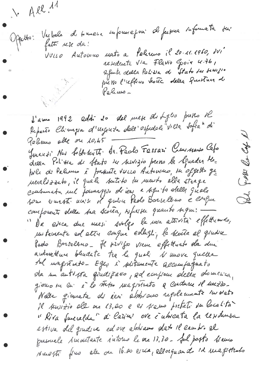$A$  All.  $A$ suformepon de ferpre informata sur Oppetto: Vechele de tomare VULLO Automno mato a Palereno il 20.11.1960, dvi residente via Flavio Goia 4.76, afunte della Palissa de Stato du sempro pretto l'reflero totte della furtura di Pelemo-

d'anne 1992 addit 20 del mete di fuglio presso sel.<br>Reparto Chimigra d'urgenta dell'espedele Villa Sofra di Pelines alle on 10,45 Juneauxi Nos foltodeuts. de Peolo Fessari Commento Cafo Exp B della Politta di Stato su servizio preno la Squadra Mebile di Palinus è présuite vuisse Automne, in offetto que Fatti nevalszzato, il quale suitito du meuto alla strage consumeta un former pour de ieu a seguito delles quele C2 comforments della baa scorra, sofurse quanto signe: Da esca due mesi svolgo la mara attrità effettuendo, mestemente ed etter emque eslegi, le scata el gradie Pado Borselano- He siviso viem effettuato da due autovetture bladate tra le quoli 11 move quella sul magnirato- Egen i plitamente accompagnato sla un antissa qualifiero, ad ecupione della domenia, giorno me en é la stefa magnituda a cordume 1l messo-Nelle giovente di ceri abbiano regolemente involto Il tervizio elle de 13.00 e es servo pretati du località "Kira fueralda" d'Estim' ove i utresta la residenza estiva del quidre ed une abstració dato il cambro el pussuale 1 montante intorne le sur 13,30 - Jul posto 11 anno suesti fino ele ou 16.20 era, ellorquando id magistrado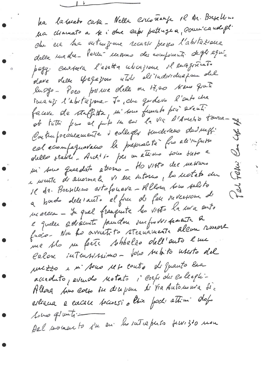ha la terato cata - Nella escoñenza 12 Ar. Busellino Ma chamato a le i obre capi pattragha, commicando gli che esa sua vuteufome recarso presso l'abstazione della madre- Parcent messons des comprents degli equi pagg. Constata l'esetta uticajione il enaginente dave delle spegazione utili all'individuazione del luggo- Poes prince slele ou 17,00 Arano quete suranzo l'abortageme- Jo, che gordevo l'auto che faceva de staffitta, m'sous fumats par event. ob tutti fero el puito me en la via d'Amerio tamma-se Contraporaneamente d'extrager surdévars des messi Str cal ecronofaguavano la prepracta fra alivapassa PA obello stabili. Anchi io per un ettimo toto dieto a mi sous quardats attorno - Ho visto dre messuro Fahi e mente de suormale vi esa dutorno, la moteto du 16 da. Borsellino estofonava - Allora tono selito La a bardo deletanto el fuer de feu neversion de marcia - Ju quel franquite les vists la ma ento e quelle advacuite prenden surfrobssite allem remort me solo nu forte sobbelzo dell'auto l'une Calon intensiono- Solo subito userto del ruezzo e m'Aous reto conto de quanto bia acceduto, evendo Motato i corpi de colecpi-Allong tomo caso su disepare de Via Automora di estracia e encare sociolosi a líne podi ettimi dopo bus gluti-Dal momento i'm en la sutrepuso femiso mon